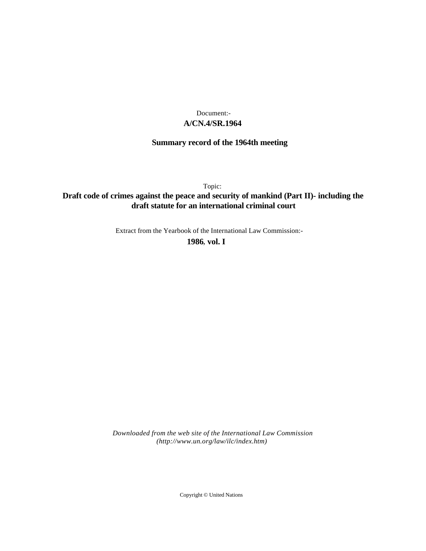### **A/CN.4/SR.1964** Document:-

# **Summary record of the 1964th meeting**

Topic:

## **Draft code of crimes against the peace and security of mankind (Part II)- including the draft statute for an international criminal court**

Extract from the Yearbook of the International Law Commission:-

**1986** , **vol. I**

*Downloaded from the web site of the International Law Commission (http://www.un.org/law/ilc/index.htm)*

Copyright © United Nations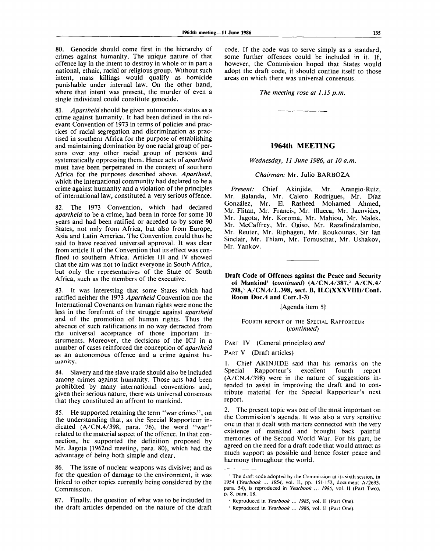80. Genocide should come first in the hierarchy of crimes against humanity. The unique nature of that offence lay in the intent to destroy in whole or in part a national, ethnic, racial or religious group. Without such intent, mass killings would qualify as homicide punishable under internal law. On the other hand, where that intent was present, the murder of even a single individual could constitute genocide.

81. *Apartheid* should be given autonomous status as a crime against humanity. It had been defined in the relevant Convention of 1973 in terms of policies and practices of racial segregation and discrimination as practised in southern Africa for the purpose of establishing and maintaining domination by one racial group of persons over any other racial group of persons and systematically oppressing them. Hence acts *of apartheid* must have been perpetrated in the context of southern Africa for the purposes described above. *Apartheid,* which the international community had declared to be a crime against humanity and a violation of the principles of international law, constituted a very serious offence.

82. The 1973 Convention, which had declared *apartheid* to be a crime, had been in force for some 10 years and had been ratified or acceded to by some 90 States, not only from Africa, but also from Europe, Asia and Latin America. The Convention could thus be said to have received universal approval. It was clear from article II of the Convention that its effect was confined to southern Africa. Articles III and IV showed that the aim was not to indict everyone in South Africa, but only the representatives of the State of South Africa, such as the members of the executive.

83. It was interesting that some States which had ratified neither the 1973 *Apartheid* Convention nor the International Covenants on human rights were none the less in the forefront of the struggle against *apartheid* and of the promotion of human rights. Thus the absence of such ratifications in no way detracted from the universal acceptance of those important instruments. Moreover, the decisions of the ICJ in a number of cases reinforced the conception of *apartheid* as an autonomous offence and a crime against humanity .

84. Slavery and the slave trade should also be included among crimes against humanity. Those acts had been prohibited by many international conventions and, given their serious nature, there was universal consensus that they constituted an affront to mankind.

85. He supported retaining the term "war crimes", on the understanding that, as the Special Rapporteur indicated (A/CN.4/398, para. 76), the word "war" related to the material aspect of the offence. In that connection, he supported the definition proposed by Mr. Jagota (1962nd meeting, para. 80), which had the advantage of being both simple and clear.

86. The issue of nuclear weapons was divisive; and as for the question of damage to the environment, it was linked to other topics currently being considered by the Commission.

87. Finally, the question of what was to be included in the draft articles depended on the nature of the draft code. If the code was to serve simply as a standard, some further offences could be included in it. If, however, the Commission hoped that States would adopt the draft code, it should confine itself to those areas on which there was universal consensus.

#### *The meeting rose at 1.15 p.m.*

#### **1964th MEETING**

#### *Wednesday, 11 June 1986, at 10 a.m.*

#### *Chairman:* Mr. Julio BARBOZA

*Present:* Chief Akinjide, Mr. Arangio-Ruiz, Mr. Balanda, Mr. Calero Rodrigues, Mr. Diaz Gonzalez, Mr. El Rasheed Mohamed Ahmed, Mr. Flitan, Mr. Francis, Mr. Illueca, Mr. Jacovides, Mr. Jagota, Mr. Koroma, Mr. Mahiou, Mr. Malek, Mr. McCaffrey, Mr. Ogiso, Mr. Razafindralambo, Mr. Reuter, Mr. Riphagen, Mr. Roukounas, Sir Ian Sinclair, Mr. Thiam, Mr. Tomuschat, Mr. Ushakov, Mr. Yankov.

**Draft Code of Offences against the Peace and Security of Mankind'** *{continued)* **(A/CN.4/387,<sup>2</sup> A/CN.4/ 398,<sup>3</sup> A/CN.4/L.398, sect. B, ILC(XXXVIII)/Conf. Room Doc.4 and Corr.1-3)**

[Agenda item 5]

#### FOURTH REPORT OF THE SPECIAL RAPPORTEUR *(continued)*

PART IV (General principles) *and*

PART V (Draft articles)

1. Chief AKINJIDE said that his remarks on the Special Rapporteur's excellent fourth report (A/CN.4/398) were in the nature of suggestions intended to assist in improving the draft and to contribute material for the Special Rapporteur's next report.

2. The present topic was one of the most important on the Commission's agenda. It was also a very sensitive one in that it dealt with matters connected with the very existence of mankind and brought back painful memories of the Second World War. For his part, he agreed on the need for a draft code that would attract as much support as possible and hence foster peace and harmony throughout the world.

<sup>&</sup>lt;sup>1</sup> The draft code adopted by the Commission at its sixth session, in 1954 *(Yearbook ... 1954,* vol. II, pp. 151-152, document A/2693, para. 54), is reproduced in *Yearbook ... 1985,* vol. 11 (Part Two), p. 8, para. 18.

<sup>2</sup> Reproduced in *Yearbook ... 1985,* vol. II (Part One).

*<sup>3</sup>* Reproduced in *Yearbook* ... *1986,* vol. II (Part One).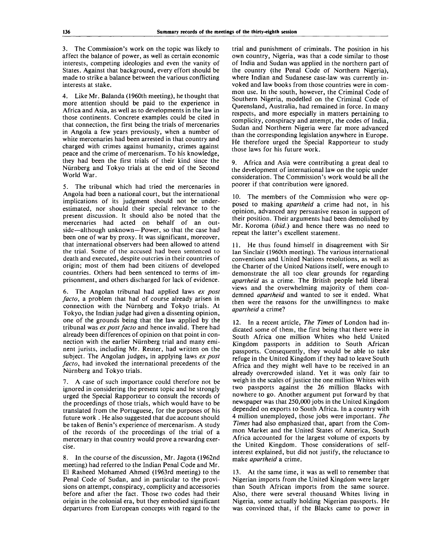3. The Commission's work on the topic was likely to affect the balance of power, as well as certain economic interests, competing ideologies and even the vanity of States. Against that background, every effort should be made to strike a balance between the various conflicting interests at stake.

4. Like Mr. Balanda (1960th meeting), he thought that more attention should be paid to the experience in Africa and Asia, as well as to developments in the law in those continents. Concrete examples could be cited in that connection, the first being the trials of mercenaries in Angola a few years previously, when a number of white mercenaries had been arrested in that country and charged with crimes against humanity, crimes against peace and the crime of mercenarism. To his knowledge, they had been the first trials of their kind since the Niirnberg and Tokyo trials at the end of the Second World War.

5. The tribunal which had tried the mercenaries in Angola had been a national court, but the international implications of its judgment should not be underestimated, nor should their special relevance to the present discussion. It should also be noted that the mercenaries had acted on behalf of an outside—although unknown—Power, so that the case had been one of war by proxy. It was significant, moreover, that international observers had been allowed to attend the trial. Some of the accused had been sentenced to death and executed, despite outcries in their countries of origin; most of them had been citizens of developed countries. Others had been sentenced to terms of imprisonment, and others discharged for lack of evidence.

6. The Angolan tribunal had applied laws *ex post facto,* a problem that had of course already arisen in connection with the Niirnberg and Tokyo trials. At Tokyo, the Indian judge had given a dissenting opinion, one of the grounds being that the law applied by the tribunal was *ex post facto* and hence invalid. There had already been differences of opinion on that point in connection with the earlier Niirnberg trial and many eminent jurists, including Mr. Reuter, had written on the subject. The Angolan judges, in applying laws *ex post facto,* had invoked the international precedents of the Niirnberg and Tokyo trials.

7. A case of such importance could therefore not be ignored in considering the present topic and he strongly urged the Special Rapporteur to consult the records of the proceedings of those trials, which would have to be translated from the Portuguese, for the purposes of his future work . He also suggested that due account should be taken of Benin's experience of mercenarism. A study of the records of the proceedings of the trial of a mercenary in that country would prove a rewardng exercise.

8. In the course of the discussion, Mr. Jagota (1962nd meeting) had referred to the Indian Penal Code and Mr. El Rasheed Mohamed Ahmed (1963rd meeting) to the Penal Code of Sudan, and in particular to the provisions on attempt, conspiracy, complicity and accessories before and after the fact. Those two codes had their origin in the colonial era, but they embodied significant departures from European concepts with regard to the trial and punishment of criminals. The position in his own country, Nigeria, was that a code similar to those of India and Sudan was applied in the northern part of the country (the Penal Code of Northern Nigeria), where Indian and Sudanese case-law was currently invoked and law books from those countries were in common use. In the south, however, the Criminal Code of Southern Nigeria, modelled on the Criminal Code of Queensland, Australia, had remained in force. In many respects, and more especially in matters pertaining to complicity, conspiracy and attempt, the codes of India, Sudan and Northern Nigeria were far more advanced than the corresponding legislation anywhere in Europe. He therefore urged the Special Rapporteur to study those laws for his future work.

9. Africa and Asia were contributing a great deal to the development of international law on the topic under consideration. The Commission's work would be all the poorer if that contribution were ignored.

10. The members of the Commission who were opposed to making *apartheid* a crime had not, in his opinion, advanced any persuasive reason in support of their position. Their arguments had been demolished by Mr. Koroma *(ibid.)* and hence there was no need to repeat the latter's excellent statement.

11. He thus found himself in disagreement with Sir Ian Sinclair (1960th meeting). The various international conventions and United Nations resolutions, as well as the Charter of the United Nations itself, were enough to demonstrate the all too clear grounds for regarding *apartheid* as a crime. The British people held liberal views and the overwhelming majority of them condemned *apartheid* and wanted to see it ended. What then were the reasons for the unwillingness to make *apartheid* a crime?

12. In a recent article, *The Times* of London had indicated some of them, the first being that there were in South Africa one million Whites who held United Kingdom passports in addition to South African passports. Consequently, they would be able to take refuge in the United Kingdom if they had to leave South Africa and they might well have to be received in an already overcrowded island. Yet it was only fair to weigh in the scales of justice the one million Whites with two passports against the 26 million Blacks with nowhere to go. Another argument put forward by that newspaper was that 250,000 jobs in the United Kingdom depended on exports to South Africa. In a country with 4 million unemployed, those jobs were important. *The Times* had also emphasized that, apart from the Common Market and the United States of America, South Africa accounted for the largest volume of exports by the United Kingdom. Those considerations of selfinterest explained, but did not justify, the reluctance to make *apartheid* a crime.

13. At the same time, it was as well to remember that Nigerian imports from the United Kingdom were larger than South African imports from the same source. Also, there were several thousand Whites living in Nigeria, some actually holding Nigerian passports. He was convinced that, if the Blacks came to power in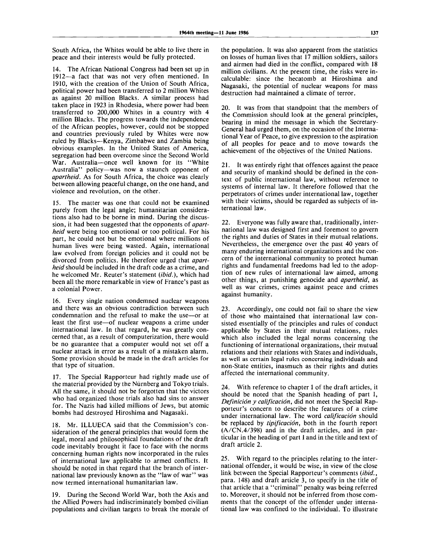South Africa, the Whites would be able to live there in peace and their interests would be fully protected.

14. The African National Congress had been set up in 1912—a fact that was not very often mentioned. In 1910, with the creation of the Union of South Africa, political power had been transferred to 2 million Whites as against 20 million Blacks. A similar process had taken place in 1923 in Rhodesia, where power had been transferred to 200,000 Whites in a country with 4 million Blacks. The progress towards the independence of the African peoples, however, could not be stopped and countries previously ruled by Whites were now ruled by Blacks—Kenya, Zimbabwe and Zambia being obvious examples. In the United States of America, segregation had been overcome since the Second World War. Australia—once well known for its "White Australia" policy—was now a staunch opponent of *apartheid.* As for South Africa, the choice was clearly between allowing peaceful change, on the one hand, and violence and revolution, on the other.

15. The matter was one that could not be examined purely from the legal angle; humanitarian considerations also had to be borne in mind. During the discussion, it had been suggested that the opponents of *apartheid* were being too emotional or too political. For his part, he could not but be emotional where millions of human lives were being wasted. Again, international law evolved from foreign policies and it could not be divorced from politics. He therefore urged that *apartheid*should be included in the draft code as a crime, and he welcomed Mr. Reuter's statement *{ibid.),* which had been all the more remarkable in view of France's past as a colonial Power.

16. Every single nation condemned nuclear weapons and there was an obvious contradiction between such condemnation and the refusal to make the use—or at least the first use—of nuclear weapons a crime under international law. In that regard, he was greatly concerned that, as a result of computerization, there would be no guarantee that a computer would not set off a nuclear attack in error as a result of a mistaken alarm. Some provision should be made in the draft articles for that type of situation.

17. The Special Rapporteur had rightly made use of the material provided by the Nurnberg and Tokyo trials. All the same, it should not be forgotten that the victors who had organized those trials also had sins to answer for. The Nazis had killed millions of Jews, but atomic bombs had destroyed Hiroshima and Nagasaki.

18. Mr. ILLUECA said that the Commission's consideration of the general principles that would form the legal, moral and philosophical foundations of the draft code inevitably brought it face to face with the norms concerning human rights now incorporated in the rules of international law applicable to armed conflicts. It should be noted in that regard that the branch of international law previously known as the "law of war" was now termed international humanitarian law.

19. During the Second World War, both the Axis and the Allied Powers had indiscriminately bombed civilian populations and civilian targets to break the morale of the population. It was also apparent from the statistics on losses of human lives that 17 million soldiers, sailors and airmen had died in the conflict, compared with 18 million civilians. At the present time, the risks were incalculable: since the hecatomb at Hiroshima and Nagasaki, the potential of nuclear weapons for mass destruction had maintained a climate of terror.

20. It was from that standpoint that the members of the Commission should look at the general principles, bearing in mind the message in which the Secretary-General had urged them, on the occasion of the International Year of Peace, to give expression to the aspiration of all peoples for peace and to move towards the achievement of the objectives of the United Nations.

21. It was entirely right that offences against the peace and security of mankind should be defined in the context of public international law, without reference to systems of internal law. It therefore followed that the perpetrators of crimes under international law, together with their victims, should be regarded as subjects of international law.

22. Everyone was fully aware that, traditionally, international law was designed first and foremost to govern the rights and duties of States in their mutual relations. Nevertheless, the emergence over the past 40 years of many enduring international organizations and the concern of the international community to protect human rights and fundamental freedoms had led to the adoption of new rules of international law aimed, among other things, at punishing genocide and *apartheid,* as well as war crimes, crimes against peace and crimes against humanity.

23. Accordingly, one could not fail to share the view of those who maintained that international law consisted essentially of the principles and rules of conduct applicable by States in their mutual relations, rules which also included the legal norms concerning the functioning of international organizations, their mutual relations and their relations with States and individuals, as well as certain legal rules concerning individuals and non-State entities, inasmuch as their rights and duties affected the international community.

24. With reference to chapter I of the draft articles, it should be noted that the Spanish heading of part I, *Definición y calificación*, did not meet the Special Rapporteur's concern to describe the features of a crime under international law. The word *calificación* should be replaced by *tipificacion,* both in the fourth report (A/CN.4/398) and in the draft articles, and in particular in the heading of part I and in the title and text of draft article 2.

25. With regard to the principles relating to the international offender, it would be wise, in view of the close link between the Special Rapporteur's comments *(ibid.,* para. 148) and draft article 3, to specify in the title of that article that a "criminal" penalty was being referred to. Moreover, it should not be inferred from those comments that the concept of the offender under international law was confined to the individual. To illustrate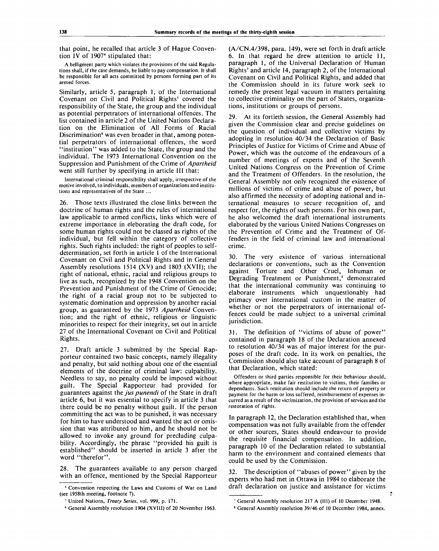that point, he recalled that article 3 of Hague Convention IV of 1907<sup>4</sup> stipulated that:

A belligerent party which violates the provisions of the said Regulations shall, if the case demands, be liable to pay compensation. It shall be responsible for all acts committed by persons forming part of its armed forces.

Similarly, article 5, paragraph 1, of the International Covenant on Civil and Political Rights<sup>5</sup> covered the responsibility of the State, the group and the individual as potential perpetrators of international offences. The list contained in article 2 of the United Nations Declaration on the Elimination of All Forms of Racial Discrimination<sup>6</sup> was even broader in that, among potential perpetrators of international offences, the word "institution" was added to the State, the group and the individual. The 1973 International Convention on the Suppression and Punishment of the Crime of *Apartheid* went still further by specifying in article III that:

International criminal responsibility shall apply, irrespective of the motive involved, to individuals, members of organizations and institutions and representatives of the State ...

26. Those texts illustrated the close links between the doctrine of human rights and the rules of international law applicable to armed conflicts, links which were of extreme importance in eleborating the draft code, for some human rights could not be classed as rights of the individual, but fell within the category of collective rights. Such rights included: the right of peoples to selfdetermination, set forth in article 1 of the International Covenant on Civil and Political Rights and in General Assembly resolutions 1514 (XV) and 1803 (XVII); the right of national, ethnic, racial and religious groups to live as such, recognized by the 1948 Convention on the Prevention and Punishment of the Crime of Genocide; the right of a racial group not to be subjected to systematic domination and oppression by another racial group, as guaranteed by the 1973 *Apartheid* Convention; and the right of ethnic, religious or linguistic minorities to respect for their integrity, set out in article 27 of the International Covenant on Civil and Political Rights.

27. Draft article 3 submitted by the Special Rapporteur contained two basic concepts, namely illegality and penalty, but said nothing about one of the essential elements of the doctrine of criminal law: culpability. Needless to say, no penalty could be imposed without guilt. The Special Rapporteur had provided for guarantees against the *jus punendi* of the State in draft article 6, but it was essential to specify in article 3 that there could be no penalty without guilt. If the person committing the act was to be punished, it was necessary for him to have understood and wanted the act or omission that was attributed to him, and he should not be allowed to invoke any ground for precluding culpability. Accordingly, the phrase "provided his guilt is established" should be inserted in article 3 after the word "therefor".

28. The guarantees available to any person charged with an offence, mentioned by the Special Rapporteur (A/CN.4/398, para. 149), were set forth in draft article 6. In that regard he drew attention to article 11, paragraph 1, of the Universal Declaration of Human Rights<sup>7</sup> and article 14, paragraph 2, of the International Covenant on Civil and Political Rights, and added that the Commission should in its future work seek to remedy the present legal vacuum in matters pertaining to collective criminality on the part of States, organizations, institutions or groups of persons.

At its fortieth session, the General Assembly had given the Commission clear and precise guidelines on the question of individual and collective victims by adopting in resolution 40/34 the Declaration of Basic Principles of Justice for Victims of Crime and Abuse of Power, which was the outcome of the endeavours of a number of meetings of experts and of the Seventh United Nations Congress on the Prevention of Crime and the Treatment of Offenders. In the resolution, the General Assembly not only recognized the existence of millions of victims of crime and abuse of power, but also affirmed the necessity of adopting national and international measures to secure recognition of, and respect for, the rights of such persons. For his own part, he also welcomed the draft international instruments elaborated by the various United Nations Congresses on the Prevention of Crime and the Treatment of Offenders in the field of criminal law and international crime.

30. The very existence of various international declarations or conventions, such as the Convention against Torture and Other Cruel, Inhuman or Degrading Treatment or Punishment,<sup>8</sup> demonstrated that the international community was continuing to elaborate instruments which unquestionably had primacy over international custom in the matter of whether or not the perpetrators of international offences could be made subject to a universal criminal jurisdiction.

31. The definition of "victims of abuse of power" contained in paragraph 18 of the Declaration annexed to resolution 40/34 was of major interest for the purposes of the draft code. In its work on penalties, the Commission should also take account of paragraph 8 of that Declaration, which stated:

Offenders or third parties responsible for their behaviour should, where appropriate, make fair restitution to victims, their families or dependants. Such restitution should include the return of property or payment for the harm or loss suffered, reimbursement of expenses incurred as a result of the victimization, the provision of services and the restoration of rights.

In paragraph 12, the Declaration established that, when compensation was not fully available from the offender or other sources, States should endeavour to provide the requisite financial compensation. In addition, paragraph 10 of the Declaration related to substantial harm to the environment and contained elements that could be used by the Commission.

The description of "abuses of power" given by the experts who had met in Ottawa in 1984 to elaborate the draft declaration on justice and assistance for victims

 $\ddot{\cdot}$ 

<sup>4</sup> Convention respecting the Laws and Customs of War on Land (see 1958th meeting, footnote 7).

<sup>5</sup> United Nations, *Treaty Series,* vol. 999, p. 171.

<sup>6</sup> General Assembly resolution 1904 (XVIII) of 20 November 1963.

<sup>7</sup> General Assembly resolution 217 A (III) of 10 December 1948.

<sup>&#</sup>x27; General Assembly resolution 39/46 of 10 December 1984, annex.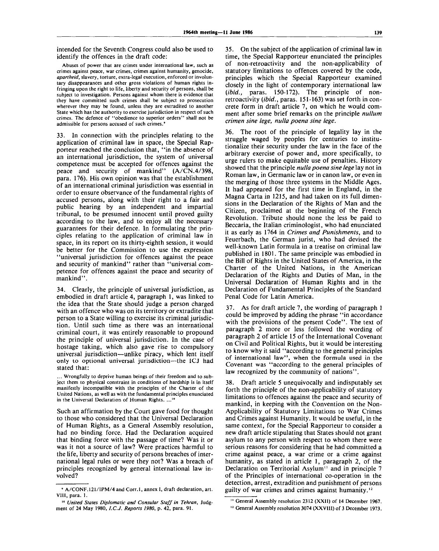intended for the Seventh Congress could also be used to identify the offences in the draft code:

Abuses of power that are crimes under international law, such as crimes against peace, war crimes, crimes against humanity, genocide, *apartheid,* slavery, torture, extra-legal execution, enforced or involuntary disappearances and other gross violations of human rights infringing upon the right to life, liberty and security of persons, shall be subject to investigation. Persons against whom there is evidence that they have committed such crimes shall be subject to prosecution wherever they may be found, unless they are extradited to another State which has the authority to exercise jurisdiction in respect of such crimes. The defence of "obedience to superior orders" shall not be admissible for persons accused of such crimes.'

33. In connection with the principles relating to the application of criminal law in space, the Special Rapporteur reached the conclusion that, "in the absence of an international jurisdiction, the system of universal competence must be accepted for offences against the peace and security of mankind" (A/CN.4/398, para. 176). His own opinion was that the establishment of an international criminal jurisdiction was essential in order to ensure observance of the fundamental rights of accused persons, along with their right to a fair and public hearing by an independent and impartial tribunal, to be presumed innocent until proved guilty according to the law, and to enjoy all the necessary guarantees for their defence. In formulating the principles relating to the application of criminal law in space, in its report on its thirty-eighth session, it would be better for the Commission to use the expression "universal jurisdiction for offences against the peace and security of mankind" rather than "universal competence for offences against the peace and security of mankind".

34. Clearly, the principle of universal jurisdiction, as embodied in draft article 4, paragraph 1, was linked to the idea that the State should judge a person charged with an offence who was on its territory or extradite that person to a State willing to exercise its criminal jurisdiction. Until such time as there was an international criminal court, it was entirely reasonable to propound the principle of universal jurisdiction. In the case of hostage taking, which also gave rise to compulsory universal jurisdiction—unlike piracy, which lent itself only to optional universal jurisdiction—the ICJ had stated that:

... Wrongfully to deprive human beings of their freedom and to subject them to physical constraint in conditions of hardship is in itself manifestly incompatible with the principles of the Charter of the United Nations, as well as with the fundamental principles enunciated in the Universal Declaration of Human Rights. ...<sup>16</sup>

Such an affirmation by the Court gave food for thought to those who considered that the Universal Declaration of Human Rights, as a General Assembly resolution, had no binding force. Had the Declaration acquired that binding force with the passage of time? Was it or was it not a source of law? Were practices harmful to the life, liberty and security of persons breaches of international legal rules or were they not? Was a breach of principles recognized by general international law involved?

35. On the subject of the application of criminal law in time, the Special Rapporteur enunciated the principles of non-retroactivity and the non-applicability of statutory limitations to offences covered by the code, principles which the Special Rapporteur examined closely in the light of contemporary international law *{ibid.,* paras. 150-172). The principle of nonretroactivity *(ibid.,* paras. 151-163) was set forth in concrete form in draft article 7, on which he would comment after some brief remarks on the principle *nullum crimen sine lege, nulla poena sine lege.*

The root of the principle of legality lay in the struggle waged by peoples for centuries to institutionalize their security under the law in the face of the arbitrary exercise of power and, more specifically, to urge rulers to make equitable use of penalties. History showed that the principle *nulla poena sine lege* lay not in Roman law, in Germanic law or in canon law, or even in the merging of those three systems in the Middle Ages. It had appeared for the first time in England, in the Magna Carta in 1215, and had taken on its full dimensions in the Declaration of the Rights of Man and the Citizen, proclaimed at the beginning of the French Revolution. Tribute should none the less be paid to Beccaria, the Italian criminologist, who had enunciated it as early as 1764 in *Crimes and Punishments,* and to Feuerbach, the German jurist, who had devised the well-known Latin formula in a treatise on criminal law published in 1801. The same principle was embodied in the Bill of Rights in the United States of America, in the Charter of the United Nations, in the American Declaration of the Rights and Duties of Man, in the Universal Declaration of Human Rights and in the Declaration of Fundamental Principles of the Standard Penal Code for Latin America.

As for draft article 7, the wording of paragraph 1 could be improved by adding the phrase "in accordance with the provisions of the present Code". The text of paragraph 2 more or less followed the wording of paragraph 2 of article 15 of the International Covenant on Civil and Political Rights, but it would be interesting to know why it said "according to the general principles of international law", when the formula used in the Covenant was "according to the general principles of law recognized by the community of nations".

38. Draft article 5 unequivocally and indisputably set forth the principle of the non-applicability of statutory limitations to offences against the peace and security of mankind, in keeping with the Convention on the Non-Applicability of Statutory Limitations to War Crimes and Crimes against Humanity. It would be useful, in the same context, for the Special Rapporteur to consider a new draft article stipulating that States should not grant asylum to any person with respect to whom there were serious reasons for considering that he had committed a crime against peace, a war crime or a crime against humanity, as stated in article 1, paragraph 2, of the Declaration on Territorial Asylum" and in principle 7 of the Principles of international co-operation in the detection, arrest, extradition and punishment of persons guilty of war crimes and crimes against humanity.<sup>12</sup>

<sup>9</sup> A/CONF.121/IPM/4 and Corr.l, annex I, draft declaration, art. **Vlll,** para. 1.

<sup>10</sup>  *United States Diplomatic and Consular Staff in Tehran,* Judgment of 24 May 1980, *I.C.J. Reports 1980,* p. 42, para. 91.

<sup>&</sup>lt;sup>11</sup> General Assembly resolution 2312 (XXII) of 14 December 1967.

<sup>&</sup>lt;sup>12</sup> General Assembly resolution 3074 (XXVIII) of 3 December 1973.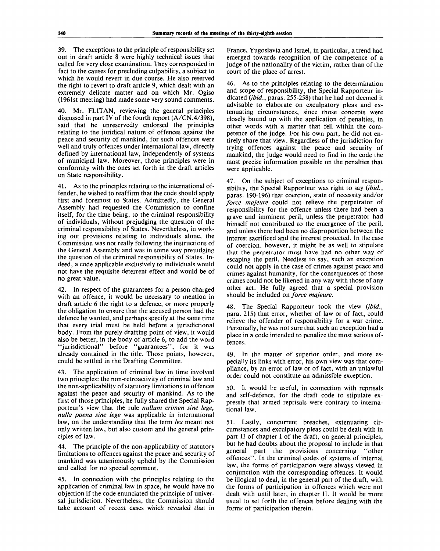39. The exceptions to the principle of responsibility set out in draft article 8 were highly technical issues that called for very close examination. They corresponded in fact to the causes for precluding culpability, a subject to which he would revert in due course. He also reserved the right to revert to draft article 9, which dealt with an extremely delicate matter and on which Mr. Ogiso (1961st meeting) had made some very sound comments.

40. Mr. FLITAN, reviewing the general principles discussed in part IV of the fourth report (A/CN.4/398), said that he unreservedly endorsed the principles relating to the juridical nature of offences against the peace and security of mankind, for such offences were well and truly offences under international law, directly defined by international law, independently of systems of municipal law. Moreover, those principles were in conformity with the ones set forth in the draft articles on State responsibility.

41. As to the principles relating to the international offender, he wished to reaffirm that the code should apply first and foremost to States. Admittedly, the General Assembly had requested the Commission to confine itself, for the time being, to the criminal responsibility of individuals, without prejudging the question of the criminal responsibility of States. Nevertheless, in working out provisions relating to individuals alone, the Commission was not really following the instructions of the General Assembly and was in some way prejudging the question of the criminal responsibility of States. Indeed, a code applicable exclusively to individuals would not have the requisite deterrent effect and would be of no great value.

42. In respect of the guarantees for a person charged with an offence, it would be necessary to mention in draft article 6 the right to a defence, or more properly the obligation to ensure that the accused person had the defence he wanted, and perhaps specify at the same time that every trial must be held before a jurisdictional body. From the purely drafting point of view, it would also be better, in the body of article 6, to add the word "jurisdictional" before "guarantees", for it was already contained in the title. Those points, however, could be settled in the Drafting Committee.

43. The application of criminal law in time involved two principles: the non-retroactivity of criminal law and the non-applicability of statutory limitations to offences against the peace and security of mankind. As to the first of those principles, he fully shared the Special Rapporteur's view that the rule *nullum crimen sine lege, nulla poena sine lege* was applicable in international law, on the understanding that the term *lex* meant not only written law, but also custom and the general principles of law.

44. The principle of the non-applicability of statutory limitations to offences against the peace and security of mankind was unanimously upheld by the Commission and called for no special comment.

45. In connection with the principles relating to the application of criminal law in space, he would have no objection if the code enunciated the principle of universal jurisdiction. Nevertheless, the Commission should take account of recent cases which revealed that in

France, Yugoslavia and Israel, in particular, a trend had emerged towards recognition of the competence of a judge of the nationality of the victim, rather than of the court of the place of arrest.

46. As to the principles relating to the determination and scope of responsibility, the Special Rapporteur indicated *{ibid.,* paras. 255-258) that he had not deemed it advisable to elaborate on exculpatory pleas and extenuating circumstances, since those concepts were closely bound up with the application of penalties, in other words with a matter that fell within the competence of the judge. For his own part, he did not entirely share that view. Regardless of the jurisdiction for trying offences against the peace and security of mankind, the judge would need to find in the code the most precise information possible on the penalties that were applicable.

47. On the subject of exceptions to criminal responsibility, the Special Rapporteur was right to say *(ibid.,* paras. 190-196) that coercion, state of necessity and/or *force majeure* could not relieve the perpetrator of responsibility for the offence unless there had been a grave and imminent peril, unless the perpetrator had himself not contributed to the emergence of the peril, and unless there had been no disproportion between the interest sacrificed and the interest protected. In the case of coercion, however, it might be as well to stipulate that the perpetrator must have had no other way of escaping the peril. Needless to say, such an exception could not apply in the case of crimes against peace and crimes against humanity, for the consequences of those crimes could not be likened in any way with those of any other act. He fully agreed that a special provision should be included on *force majeure.*

48. The Special Rapporteur took the view *(ibid.,* para. 215) that error, whether of law or of fact, could relieve the offender of responsibility for a war crime. Personally, he was not sure that such an exception had a place in a code intended to penalize the most serious offences.

49. In the matter of superior order, and more especially its links with error, his own view was that compliance, by an error of law or of fact, with an unlawful order could not constitute an admissible exception.

50. It would be useful, in connection with reprisals and self-defence, for the draft code to stipulate expressly that armed reprisals were contrary to international law.

51. Lastly, concurrent breaches, extenuating circumstances and exculpatory pleas could be dealt with in part II of chapter I of the draft, on general principles, but he had doubts about the proposal to include in that general part the provisions concerning "other general part the provisions concerning offences". In the criminal codes of systems of internal law, the forms of participation were always viewed in conjunction with the corresponding offences. It would be illogical to deal, in the general part of the draft, with the forms of participation in offences which were not dealt with until later, in chapter II. It would be more usual to set forth the offences before dealing with the forms of participation therein.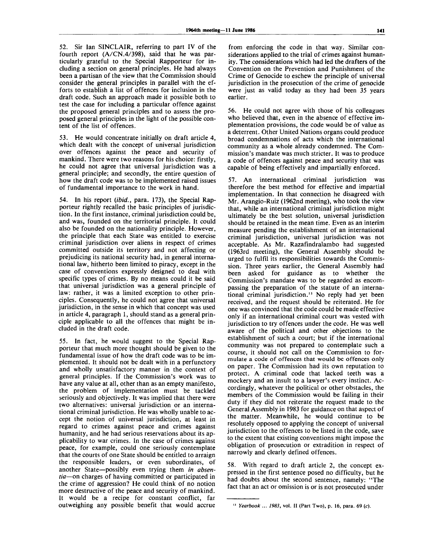52. Sir Ian SINCLAIR, referring to part IV of the fourth report (A/CN.4/398), said that he was particularly grateful to the Special Rapporteur for including a section on general principles. He had always been a partisan of the view that the Commission should consider the general principles in parallel with the efforts to establish a list of offences for inclusion in the draft code. Such an approach made it possible both to test the case for including a particular offence against the proposed general principles and to assess the proposed general principles in the light of the possible content of the list of offences.

53. He would concentrate initially on draft article 4, which dealt with the concept of universal jurisdiction over offences against the peace and security of mankind. There were two reasons for his choice: firstly, he could not agree that universal jurisdiction was a general principle; and secondly, the entire question of how the draft code was to be implemented raised issues of fundamental importance to the work in hand.

54. In his report *{ibid.,* para. 173), the Special Rapporteur rightly recalled the basic principles of jurisdiction. In the first instance, criminal jurisdiction could be, and was, founded on the territorial principle. It could also be founded on the nationality principle. However, the principle that each State was entitled to exercise criminal jurisdiction over aliens in respect of crimes committed outside its territory and not affecting or prejudicing its national security had, in general international law, hitherto been limited to piracy, except in the case of conventions expressly designed to deal with specific types of crimes. By no means could it be said that universal jurisdiction was a general principle of law: rather, it was a limited exception to other principles. Consequently, he could not agree that universal jurisdiction, in the sense in which that concept was used in article 4, paragraph 1, should stand as a general principle applicable to all the offences that might be included in the draft code.

55. In fact, he would suggest to the Special Rapporteur that much more thought should be given to the fundamental issue of how the draft code was to be implemented. It should not be dealt with in a perfunctory and wholly unsatisfactory manner in the context of general principles. If the Commission's work was to have any value at all, other than as an empty manifesto, the problem of implementation must be tackled seriously and objectively. It was implied that there were two alternatives: universal jurisdiction or an international criminal jurisdiction. He was wholly unable to accept the notion of universal jurisdiction, at least in regard to crimes against peace and crimes against humanity, and he had serious reservations about its applicability to war crimes. In the case of crimes against peace, for example, could one seriously contemplate that the courts of one State should be entitled to arraign the responsible leaders, or even subordinates, of another State—possibly even trying them *in absentia*—on charges of having committed or participated in the crime of aggression? He could think of no notion more destructive of the peace and security of mankind. It would be a recipe for constant conflict, far outweighing any possible benefit that would accrue

from enforcing the code in that way. Similar considerations applied to the trial of crimes against **humanity. The considerations which had led the drafters of the** Convention on the Prevention and Punishment of the Crime of Genocide to eschew the principle of universal jurisdiction in the prosecution of the crime of genocide were just as valid today as they had been 35 years earlier.

56. He could not agree with those of his colleagues who believed that, even in the absence of effective implementation provisions, the code would be of value as a deterrent. Other United Nations organs could produce broad condemnations of acts which the international community as a whole already condemned. The Commission's mandate was much stricter. It was to produce a code of offences against peace and security that was capable of being effectively and impartially enforced.

57. An international criminal jurisdiction was therefore the best method for effective and impartial implementation. In that connection he disagreed with Mr. Arangio-Ruiz (1962nd meeting), who took the view that, while an international criminal jurisdiction might ultimately be the best solution, universal jurisdiction should be retained in the mean time. Even as an interim measure pending the establishment of an international criminal jurisdiction, universal jurisdiction was not acceptable. As Mr. Razafindralambo had suggested (1963rd meeting), the General Assembly should be urged to fulfil its responsibilities towards the Commission. Three years earlier, the General Assembly had been asked for guidance as to whether the Commission's mandate was to be regarded as encompassing the preparation of the statute of an international criminal jurisdiction.<sup>13</sup> No reply had yet been received, and the request should be reiterated. He for one was convinced that the code could be made effective only if an international criminal court was vested with jurisdiction to try offences under the code. He was well aware of the political and other objections to the establishment of such a court; but if the international community was not prepared to contemplate such a course, it should not call on the Commission to formulate a code of offences that would be offences only on paper. The Commission had its own reputation to protect. A criminal code that lacked teeth was a mockery and an insult to a lawyer's every instinct. Accordingly, whatever the political or other obstacles, the members of the Commission would be failing in their duty if they did not reiterate the request made to the General Assembly in 1983 for guidance on that aspect of the matter. Meanwhile, he would continue to be resolutely opposed to applying the concept of universal jurisdiction to the offences to be listed in the code, save to the extent that existing conventions might impose the obligation of prosecution or extradition in respect of narrowly and clearly defined offences.

58. With regard to draft article 2, the concept expressed in the first sentence posed no difficulty, but he had doubts about the second sentence, namely: "The fact that an act or omission is or is not prosecuted under

**<sup>13</sup>**  *Yearbook ... 1983,* **vol. II (Part Two), p. 16, para. 69 (c).**